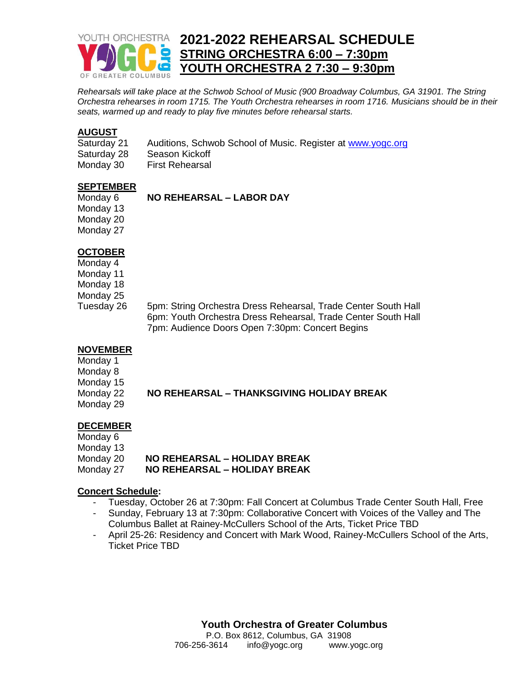

*Rehearsals will take place at the Schwob School of Music (900 Broadway Columbus, GA 31901. The String Orchestra rehearses in room 1715. The Youth Orchestra rehearses in room 1716. Musicians should be in their seats, warmed up and ready to play five minutes before rehearsal starts.*

#### **AUGUST**

| Saturday 21 | Auditions, Schwob School of Music. Register at www.yogc.org |
|-------------|-------------------------------------------------------------|
| Saturday 28 | Season Kickoff                                              |
| Monday 30   | <b>First Rehearsal</b>                                      |

#### **SEPTEMBER**

# Monday 6 **NO REHEARSAL – LABOR DAY**

Monday 13 Monday 20 Monday 27

## **OCTOBER**

Monday 4 Monday 11

Monday 18

Monday 25

Tuesday 26 5pm: String Orchestra Dress Rehearsal, Trade Center South Hall 6pm: Youth Orchestra Dress Rehearsal, Trade Center South Hall 7pm: Audience Doors Open 7:30pm: Concert Begins

#### **NOVEMBER**

Monday 1 Monday 8 Monday 15

Monday 29

Monday 22 **NO REHEARSAL – THANKSGIVING HOLIDAY BREAK**

# **DECEMBER**

| Monday 6  |                                     |
|-----------|-------------------------------------|
| Monday 13 |                                     |
| Monday 20 | <b>NO REHEARSAL – HOLIDAY BREAK</b> |
| Monday 27 | <b>NO REHEARSAL – HOLIDAY BREAK</b> |

#### **Concert Schedule:**

- Tuesday, October 26 at 7:30pm: Fall Concert at Columbus Trade Center South Hall, Free
- Sunday, February 13 at 7:30pm: Collaborative Concert with Voices of the Valley and The Columbus Ballet at Rainey-McCullers School of the Arts, Ticket Price TBD
- April 25-26: Residency and Concert with Mark Wood, Rainey-McCullers School of the Arts, Ticket Price TBD